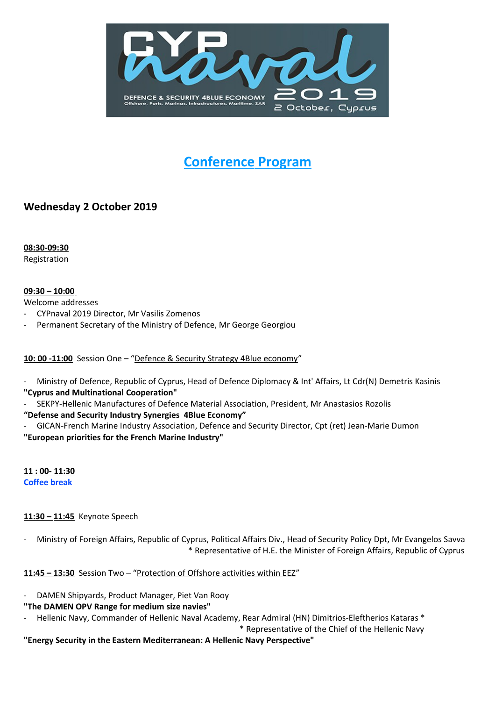

# **Conference Program**

## **Wednesday 2 October 2019**

 **08:30- 09 : 30** Registration

#### **09:30 – 10 :00**

Welcome addresses

- CYPnaval 2019 Director, Mr Vasilis Zomenos
- Permanent Secretary of the Ministry of Defence, Mr George Georgiou

### 10: 00 -11:00 Session One - "Defence & Security Strategy 4Blue economy"

Ministry of Defence, Republic of Cyprus, Head of Defence Diplomacy & Int' Affairs, Lt Cdr(N) Demetris Kasinis

- **"Cyprus and Multinational Cooperation"**
- SEKPY-Hellenic Manufactures of Defence Material Association, President, Mr Anastasios Rozolis

### **"Defense and Security Industry Synergies 4Blue Economy"**

- GICAN-French Marine Industry Association, Defence and Security Director, Cpt (ret) Jean-Marie Dumon **"European priorities for the French Marine Industry"**

**11:00-11:30 Coffee break**

### **11:30 – 11:45** Keynote Speech

- Ministry of Foreign Affairs, Republic of Cyprus, Political Affairs Div., Head of Security Policy Dpt, Mr Evangelos Savva \* Representative of H.E. the Minister of Foreign Affairs, Republic of Cyprus

**11:45 - 13:30** Session Two - "Protection of Offshore activities within EEZ"

DAMEN Shipyards, Product Manager, Piet Van Rooy

### **"The DAMEN OPV Range for medium size navies"**

Hellenic Navy, Commander of Hellenic Naval Academy, Rear Admiral (HN) Dimitrios-Eleftherios Kataras \*

\* Representative of the Chief of the Hellenic Navy

**"Energy Security in the Eastern Mediterranean: Α Hellenic Navy Perspective"**